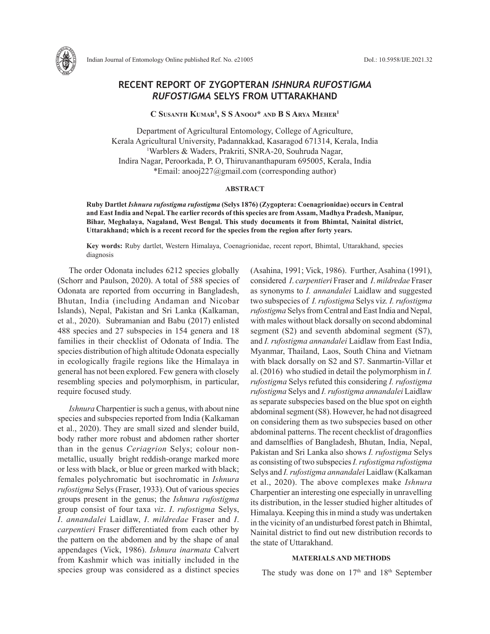

Indian Journal of Entomology Online published Ref. No. e21005 DoI.: 10.5958/IJE.2021.32

# **RECENT REPORT OF ZYGOPTERAN** *ISHNURA RUFOSTIGMA RUFOSTIGMA* **SELYS FROM UTTARAKHAND**

**C Susanth Kumar1 , S S Anooj\* and B S Arya Meher1**

Department of Agricultural Entomology, College of Agriculture, Kerala Agricultural University, Padannakkad, Kasaragod 671314, Kerala, India 1 Warblers & Waders, Prakriti, SNRA-20, Souhruda Nagar, Indira Nagar, Peroorkada, P. O, Thiruvananthapuram 695005, Kerala, India \*Email: anooj227@gmail.com (corresponding author)

### **ABSTRACT**

**Ruby Dartlet** *Ishnura rufostigma rufostigma* **(Selys 1876) (Zygoptera: Coenagrionidae) occurs in Central and East India and Nepal. The earlier records of this species are from Assam, Madhya Pradesh, Manipur, Bihar, Meghalaya, Nagaland, West Bengal. This study documents it from Bhimtal, Nainital district, Uttarakhand; which is a recent record for the species from the region after forty years.** 

**Key words:** Ruby dartlet, Western Himalaya, Coenagrionidae, recent report, Bhimtal, Uttarakhand, species diagnosis

The order Odonata includes 6212 species globally (Schorr and Paulson, 2020). A total of 588 species of Odonata are reported from occurring in Bangladesh, Bhutan, India (including Andaman and Nicobar Islands), Nepal, Pakistan and Sri Lanka (Kalkaman, et al., 2020). Subramanian and Babu (2017) enlisted 488 species and 27 subspecies in 154 genera and 18 families in their checklist of Odonata of India. The species distribution of high altitude Odonata especially in ecologically fragile regions like the Himalaya in general has not been explored. Few genera with closely resembling species and polymorphism, in particular, require focused study.

*Ishnura* Charpentier is such a genus, with about nine species and subspecies reported from India (Kalkaman et al., 2020). They are small sized and slender build, body rather more robust and abdomen rather shorter than in the genus *Ceriagrion* Selys; colour nonmetallic, usually bright reddish-orange marked more or less with black, or blue or green marked with black; females polychromatic but isochromatic in *Ishnura rufostigma* Selys (Fraser, 1933). Out of various species groups present in the genus; the *Ishnura rufostigma* group consist of four taxa *viz*. *I*. *rufostigma* Selys, *I*. *annandalei* Laidlaw, *I*. *mildredae* Fraser and *I*. *carpentieri* Fraser differentiated from each other by the pattern on the abdomen and by the shape of anal appendages (Vick, 1986). *Ishnura inarmata* Calvert from Kashmir which was initially included in the species group was considered as a distinct species (Asahina, 1991; Vick, 1986). Further, Asahina (1991), considered *I*. *carpentieri* Fraser and *I*. *mildredae* Fraser as synonyms to *I. annandalei* Laidlaw and suggested two subspecies of *I. rufostigma* Selys viz*. I. rufostigma rufostigma* Selys from Central and East India and Nepal, with males without black dorsally on second abdominal segment (S2) and seventh abdominal segment (S7), and *I. rufostigma annandalei* Laidlaw from East India, Myanmar, Thailand, Laos, South China and Vietnam with black dorsally on S2 and S7. Sanmartin-Villar et al. (2016) who studied in detail the polymorphism in *I. rufostigma* Selys refuted this considering *I. rufostigma rufostigma* Selys and *I. rufostigma annandalei* Laidlaw as separate subspecies based on the blue spot on eighth abdominal segment (S8). However, he had not disagreed on considering them as two subspecies based on other abdominal patterns. The recent checklist of dragonflies and damselflies of Bangladesh, Bhutan, India, Nepal, Pakistan and Sri Lanka also shows *I. rufostigma* Selys as consisting of two subspecies *I. rufostigma rufostigma* Selys and *I. rufostigma annandalei* Laidlaw (Kalkaman et al., 2020). The above complexes make *Ishnura*  Charpentier an interesting one especially in unravelling its distribution, in the lesser studied higher altitudes of Himalaya. Keeping this in mind a study was undertaken in the vicinity of an undisturbed forest patch in Bhimtal, Nainital district to find out new distribution records to the state of Uttarakhand.

## **MATERIALS AND METHODS**

The study was done on  $17<sup>th</sup>$  and  $18<sup>th</sup>$  September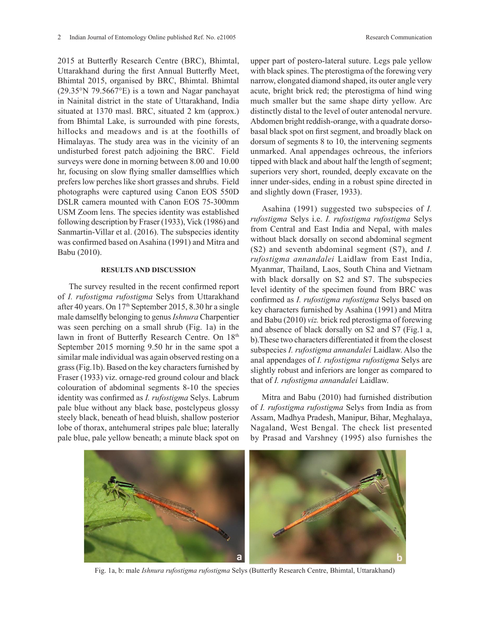2015 at Butterfly Research Centre (BRC), Bhimtal, Uttarakhand during the first Annual Butterfly Meet, Bhimtal 2015, organised by BRC, Bhimtal. Bhimtal (29.35°N 79.5667°E) is a town and Nagar panchayat in Nainital district in the state of Uttarakhand, India situated at 1370 masl. BRC, situated 2 km (approx.) from Bhimtal Lake, is surrounded with pine forests, hillocks and meadows and is at the foothills of Himalayas. The study area was in the vicinity of an undisturbed forest patch adjoining the BRC. Field surveys were done in morning between 8.00 and 10.00 hr, focusing on slow flying smaller damselflies which prefers low perches like short grasses and shrubs. Field photographs were captured using Canon EOS 550D DSLR camera mounted with Canon EOS 75-300mm USM Zoom lens. The species identity was established following description by Fraser (1933), Vick (1986) and Sanmartin-Villar et al. (2016). The subspecies identity was confirmed based on Asahina (1991) and Mitra and Babu (2010).

#### **RESULTS AND DISCUSSION**

The survey resulted in the recent confirmed report of *I. rufostigma rufostigma* Selys from Uttarakhand after 40 years. On 17th September 2015, 8.30 hr a single male damselfly belonging to genus *Ishnura* Charpentier was seen perching on a small shrub (Fig. 1a) in the lawn in front of Butterfly Research Centre. On 18th September 2015 morning 9.50 hr in the same spot a similar male individual was again observed resting on a grass (Fig.1b). Based on the key characters furnished by Fraser (1933) viz. ornage-red ground colour and black colouration of abdominal segments 8-10 the species identity was confirmed as *I. rufostigma* Selys. Labrum pale blue without any black base, postclypeus glossy steely black, beneath of head bluish, shallow posterior lobe of thorax, antehumeral stripes pale blue; laterally pale blue, pale yellow beneath; a minute black spot on

upper part of postero-lateral suture. Legs pale yellow with black spines. The pterostigma of the forewing very narrow, elongated diamond shaped, its outer angle very acute, bright brick red; the pterostigma of hind wing much smaller but the same shape dirty yellow. Arc distinctly distal to the level of outer antenodal nervure. Abdomen bright reddish-orange, with a quadrate dorsobasal black spot on first segment, and broadly black on dorsum of segments 8 to 10, the intervening segments unmarked. Anal appendages ochreous, the inferiors tipped with black and about half the length of segment; superiors very short, rounded, deeply excavate on the inner under-sides, ending in a robust spine directed in and slightly down (Fraser, 1933).

Asahina (1991) suggested two subspecies of *I. rufostigma* Selys i.e. *I. rufostigma rufostigma* Selys from Central and East India and Nepal, with males without black dorsally on second abdominal segment (S2) and seventh abdominal segment (S7), and *I. rufostigma annandalei* Laidlaw from East India, Myanmar, Thailand, Laos, South China and Vietnam with black dorsally on S2 and S7. The subspecies level identity of the specimen found from BRC was confirmed as *I. rufostigma rufostigma* Selys based on key characters furnished by Asahina (1991) and Mitra and Babu (2010) *viz.* brick red pterostigma of forewing and absence of black dorsally on S2 and S7 (Fig.1 a, b).These two characters differentiated it from the closest subspecies *I. rufostigma annandalei* Laidlaw. Also the anal appendages of *I. rufostigma rufostigma* Selys are slightly robust and inferiors are longer as compared to that of *I. rufostigma annandalei* Laidlaw.

Mitra and Babu (2010) had furnished distribution of *I. rufostigma rufostigma* Selys from India as from Assam, Madhya Pradesh, Manipur, Bihar, Meghalaya, Nagaland, West Bengal. The check list presented by Prasad and Varshney (1995) also furnishes the

Fig. 1a, b: male *Ishnura rufostigma rufostigma* Selys (Butterfly Research Centre, Bhimtal, Uttarakhand)